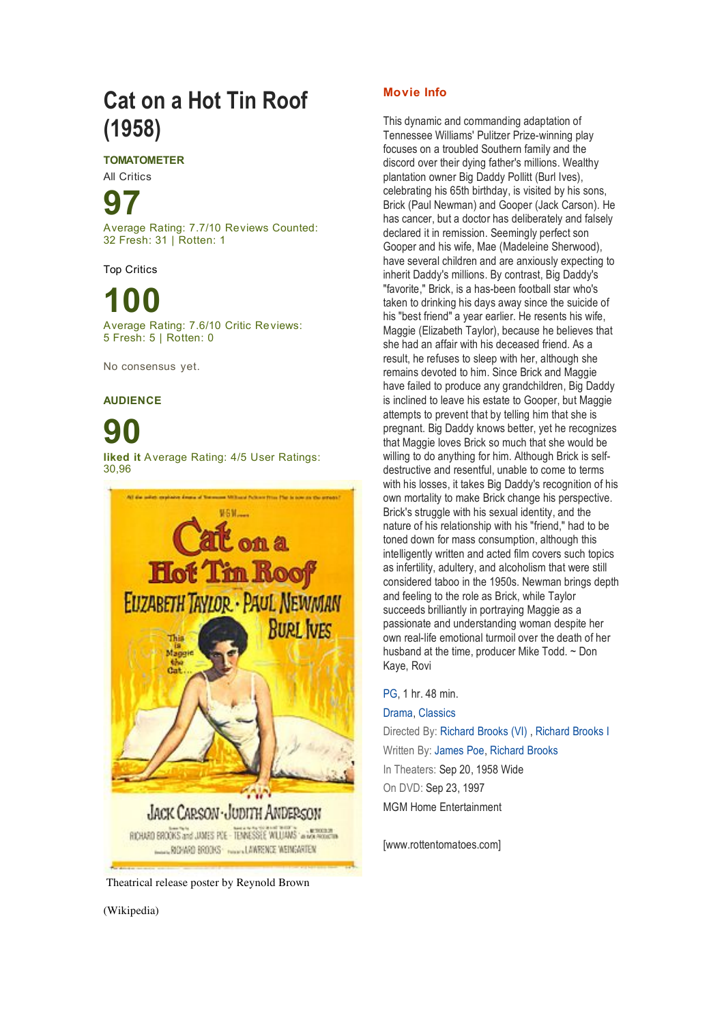## **Cat on a Hot Tin Roof (1958)**

**TOMATOMETER**

All Critics

# **97**

Average Rating: 7.7/10 Reviews Counted: 32 Fresh: 31 | Rotten: 1

Top Critics

### **100** Average Rating: 7.6/10 Critic Reviews: 5 Fresh: 5 | Rotten: 0

No consensus yet.

### **AUDIENCE**

# **90**

**liked it** Average Rating: 4/5 User Ratings: 30,96



Theatrical release poster by Reynold Brown

#### **Movie Info**

This dynamic and commanding adaptation of Tennessee Williams' Pulitzer Prize-winning play focuses on a troubled Southern family and the discord over their dying father's millions. Wealthy plantation owner Big Daddy Pollitt (Burl Ives), celebrating his 65th birthday, is visited by his sons, Brick (Paul Newman) and Gooper (Jack Carson). He has cancer, but a doctor has deliberately and falsely declared it in remission. Seemingly perfect son Gooper and his wife, Mae (Madeleine Sherwood), have several children and are anxiously expecting to inherit Daddy's millions. By contrast, Big Daddy's "favorite," Brick, is a has-been football star who's taken to drinking his days away since the suicide of his "best friend" a year earlier. He resents his wife, Maggie (Elizabeth Taylor), because he believes that she had an affair with his deceased friend. As a result, he refuses to sleep with her, although she remains devoted to him. Since Brick and Maggie have failed to produce any grandchildren, Big Daddy is inclined to leave his estate to Gooper, but Maggie attempts to prevent that by telling him that she is pregnant. Big Daddy knows better, yet he recognizes that Maggie loves Brick so much that she would be willing to do anything for him. Although Brick is selfdestructive and resentful, unable to come to terms with his losses, it takes Big Daddy's recognition of his own mortality to make Brick change his perspective. Brick's struggle with his sexual identity, and the nature of his relationship with his "friend," had to be toned down for mass consumption, although this intelligently written and acted film covers such topics as infertility, adultery, and alcoholism that were still considered taboo in the 1950s. Newman brings depth and feeling to the role as Brick, while Taylor succeeds brilliantly in portraying Maggie as a passionate and understanding woman despite her own real-life emotional turmoil over the death of her husband at the time, producer Mike Todd. ~ Don Kaye, Rovi

#### PG, 1 hr. 48 min.

Drama, Classics Directed By: Richard Brooks (VI) , Richard Brooks I Written By: James Poe, Richard Brooks In Theaters: Sep 20, 1958 Wide On DVD: Sep 23, 1997 MGM Home Entertainment

[www.rottentomatoes.com]

(Wikipedia)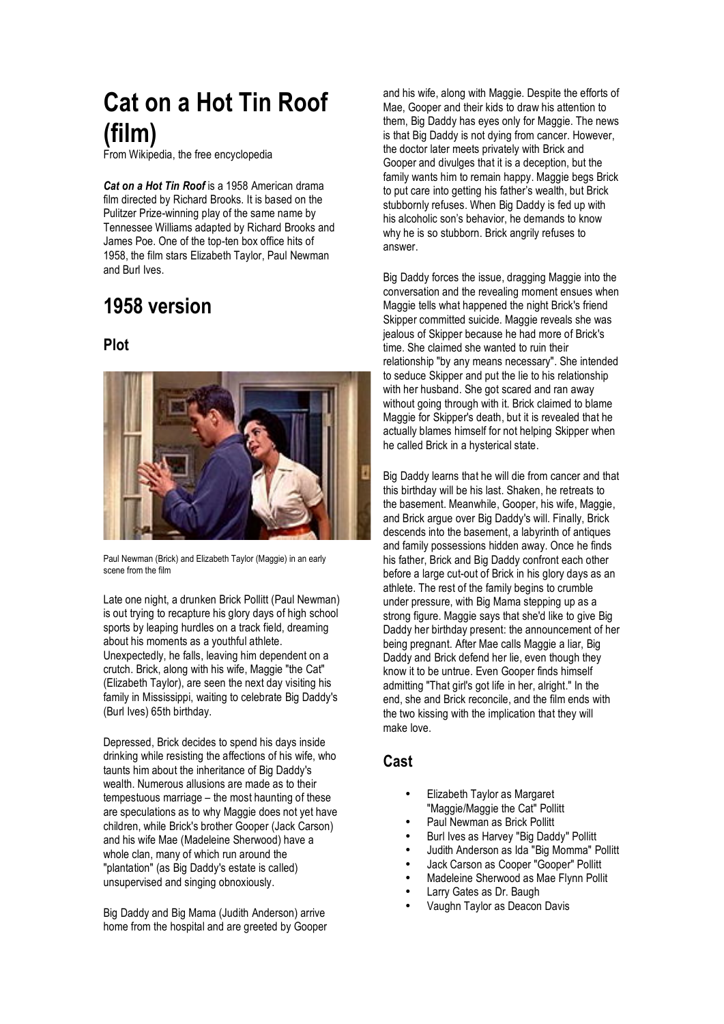# **Cat on a Hot Tin Roof (film)**

From Wikipedia, the free encyclopedia

*Cat on a Hot Tin Roof* is a 1958 American drama film directed by Richard Brooks. It is based on the Pulitzer Prize-winning play of the same name by Tennessee Williams adapted by Richard Brooks and James Poe. One of the top-ten box office hits of 1958, the film stars Elizabeth Taylor, Paul Newman and Burl Ives.

## **1958 version**

### **Plot**



Paul Newman (Brick) and Elizabeth Taylor (Maggie) in an early scene from the film

Late one night, a drunken Brick Pollitt (Paul Newman) is out trying to recapture his glory days of high school sports by leaping hurdles on a track field, dreaming about his moments as a youthful athlete. Unexpectedly, he falls, leaving him dependent on a crutch. Brick, along with his wife, Maggie "the Cat" (Elizabeth Taylor), are seen the next day visiting his family in Mississippi, waiting to celebrate Big Daddy's (Burl Ives) 65th birthday.

Depressed, Brick decides to spend his days inside drinking while resisting the affections of his wife, who taunts him about the inheritance of Big Daddy's wealth. Numerous allusions are made as to their tempestuous marriage – the most haunting of these are speculations as to why Maggie does not yet have children, while Brick's brother Gooper (Jack Carson) and his wife Mae (Madeleine Sherwood) have a whole clan, many of which run around the "plantation" (as Big Daddy's estate is called) unsupervised and singing obnoxiously.

Big Daddy and Big Mama (Judith Anderson) arrive home from the hospital and are greeted by Gooper

and his wife, along with Maggie. Despite the efforts of Mae, Gooper and their kids to draw his attention to them, Big Daddy has eyes only for Maggie. The news is that Big Daddy is not dying from cancer. However, the doctor later meets privately with Brick and Gooper and divulges that it is a deception, but the family wants him to remain happy. Maggie begs Brick to put care into getting his father's wealth, but Brick stubbornly refuses. When Big Daddy is fed up with his alcoholic son's behavior, he demands to know why he is so stubborn. Brick angrily refuses to answer.

Big Daddy forces the issue, dragging Maggie into the conversation and the revealing moment ensues when Maggie tells what happened the night Brick's friend Skipper committed suicide. Maggie reveals she was jealous of Skipper because he had more of Brick's time. She claimed she wanted to ruin their relationship "by any means necessary". She intended to seduce Skipper and put the lie to his relationship with her husband. She got scared and ran away without going through with it. Brick claimed to blame Maggie for Skipper's death, but it is revealed that he actually blames himself for not helping Skipper when he called Brick in a hysterical state.

Big Daddy learns that he will die from cancer and that this birthday will be his last. Shaken, he retreats to the basement. Meanwhile, Gooper, his wife, Maggie, and Brick argue over Big Daddy's will. Finally, Brick descends into the basement, a labyrinth of antiques and family possessions hidden away. Once he finds his father, Brick and Big Daddy confront each other before a large cut-out of Brick in his glory days as an athlete. The rest of the family begins to crumble under pressure, with Big Mama stepping up as a strong figure. Maggie says that she'd like to give Big Daddy her birthday present: the announcement of her being pregnant. After Mae calls Maggie a liar, Big Daddy and Brick defend her lie, even though they know it to be untrue. Even Gooper finds himself admitting "That girl's got life in her, alright." In the end, she and Brick reconcile, and the film ends with the two kissing with the implication that they will make love.

#### **Cast**

- Elizabeth Taylor as Margaret "Maggie/Maggie the Cat" Pollitt
- Paul Newman as Brick Pollitt
- Burl Ives as Harvey "Big Daddy" Pollitt
- Judith Anderson as Ida "Big Momma" Pollitt
- Jack Carson as Cooper "Gooper" Pollitt
- Madeleine Sherwood as Mae Flynn Pollit
- Larry Gates as Dr. Baugh
- Vaughn Taylor as Deacon Davis